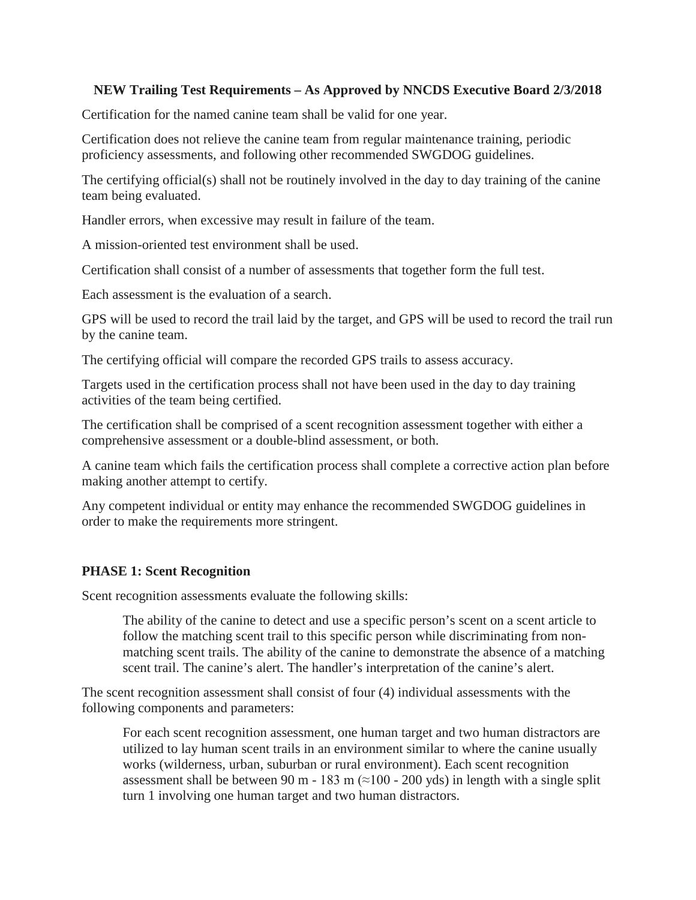## **NEW Trailing Test Requirements – As Approved by NNCDS Executive Board 2/3/2018**

Certification for the named canine team shall be valid for one year.

Certification does not relieve the canine team from regular maintenance training, periodic proficiency assessments, and following other recommended SWGDOG guidelines.

The certifying official(s) shall not be routinely involved in the day to day training of the canine team being evaluated.

Handler errors, when excessive may result in failure of the team.

A mission-oriented test environment shall be used.

Certification shall consist of a number of assessments that together form the full test.

Each assessment is the evaluation of a search.

GPS will be used to record the trail laid by the target, and GPS will be used to record the trail run by the canine team.

The certifying official will compare the recorded GPS trails to assess accuracy.

Targets used in the certification process shall not have been used in the day to day training activities of the team being certified.

The certification shall be comprised of a scent recognition assessment together with either a comprehensive assessment or a double-blind assessment, or both.

A canine team which fails the certification process shall complete a corrective action plan before making another attempt to certify.

Any competent individual or entity may enhance the recommended SWGDOG guidelines in order to make the requirements more stringent.

## **PHASE 1: Scent Recognition**

Scent recognition assessments evaluate the following skills:

The ability of the canine to detect and use a specific person's scent on a scent article to follow the matching scent trail to this specific person while discriminating from nonmatching scent trails. The ability of the canine to demonstrate the absence of a matching scent trail. The canine's alert. The handler's interpretation of the canine's alert.

The scent recognition assessment shall consist of four (4) individual assessments with the following components and parameters:

For each scent recognition assessment, one human target and two human distractors are utilized to lay human scent trails in an environment similar to where the canine usually works (wilderness, urban, suburban or rural environment). Each scent recognition assessment shall be between 90 m - 183 m ( $\approx$ 100 - 200 yds) in length with a single split turn 1 involving one human target and two human distractors.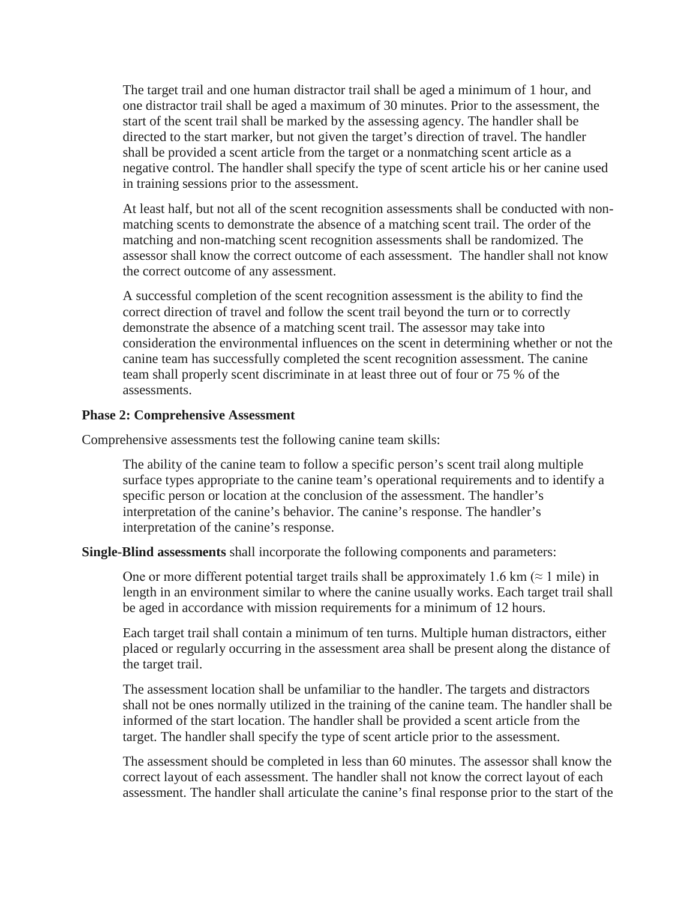The target trail and one human distractor trail shall be aged a minimum of 1 hour, and one distractor trail shall be aged a maximum of 30 minutes. Prior to the assessment, the start of the scent trail shall be marked by the assessing agency. The handler shall be directed to the start marker, but not given the target's direction of travel. The handler shall be provided a scent article from the target or a nonmatching scent article as a negative control. The handler shall specify the type of scent article his or her canine used in training sessions prior to the assessment.

At least half, but not all of the scent recognition assessments shall be conducted with nonmatching scents to demonstrate the absence of a matching scent trail. The order of the matching and non-matching scent recognition assessments shall be randomized. The assessor shall know the correct outcome of each assessment. The handler shall not know the correct outcome of any assessment.

A successful completion of the scent recognition assessment is the ability to find the correct direction of travel and follow the scent trail beyond the turn or to correctly demonstrate the absence of a matching scent trail. The assessor may take into consideration the environmental influences on the scent in determining whether or not the canine team has successfully completed the scent recognition assessment. The canine team shall properly scent discriminate in at least three out of four or 75 % of the assessments.

## **Phase 2: Comprehensive Assessment**

Comprehensive assessments test the following canine team skills:

The ability of the canine team to follow a specific person's scent trail along multiple surface types appropriate to the canine team's operational requirements and to identify a specific person or location at the conclusion of the assessment. The handler's interpretation of the canine's behavior. The canine's response. The handler's interpretation of the canine's response.

**Single-Blind assessments** shall incorporate the following components and parameters:

One or more different potential target trails shall be approximately 1.6 km ( $\approx$  1 mile) in length in an environment similar to where the canine usually works. Each target trail shall be aged in accordance with mission requirements for a minimum of 12 hours.

Each target trail shall contain a minimum of ten turns. Multiple human distractors, either placed or regularly occurring in the assessment area shall be present along the distance of the target trail.

The assessment location shall be unfamiliar to the handler. The targets and distractors shall not be ones normally utilized in the training of the canine team. The handler shall be informed of the start location. The handler shall be provided a scent article from the target. The handler shall specify the type of scent article prior to the assessment.

The assessment should be completed in less than 60 minutes. The assessor shall know the correct layout of each assessment. The handler shall not know the correct layout of each assessment. The handler shall articulate the canine's final response prior to the start of the